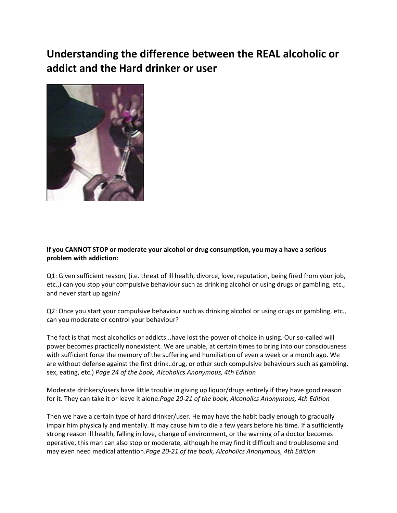## **Understanding the difference between the REAL alcoholic or addict and the Hard drinker or user**



## **If you CANNOT STOP or moderate your alcohol or drug consumption, you may a have a serious problem with addiction:**

Q1: Given sufficient reason, (i.e. threat of ill health, divorce, love, reputation, being fired from your job, etc.,) can you stop your compulsive behaviour such as drinking alcohol or using drugs or gambling, etc., and never start up again?

Q2: Once you start your compulsive behaviour such as drinking alcohol or using drugs or gambling, etc., can you moderate or control your behaviour?

The fact is that most alcoholics or addicts...have lost the power of choice in using. Our so-called will power becomes practically nonexistent. We are unable, at certain times to bring into our consciousness with sufficient force the memory of the suffering and humiliation of even a week or a month ago. We are without defense against the first drink..drug, or other such compulsive behaviours such as gambling, sex, eating, etc.) *Page 24 of the book, Alcoholics Anonymous, 4th Edition*

Moderate drinkers/users have little trouble in giving up liquor/drugs entirely if they have good reason for it. They can take it or leave it alone.*Page 20-21 of the book, Alcoholics Anonymous, 4th Edition*

Then we have a certain type of hard drinker/user. He may have the habit badly enough to gradually impair him physically and mentally. It may cause him to die a few years before his time. If a sufficiently strong reason ill health, falling in love, change of environment, or the warning of a doctor becomes operative, this man can also stop or moderate, although he may find it difficult and troublesome and may even need medical attention.*Page 20-21 of the book, Alcoholics Anonymous, 4th Edition*